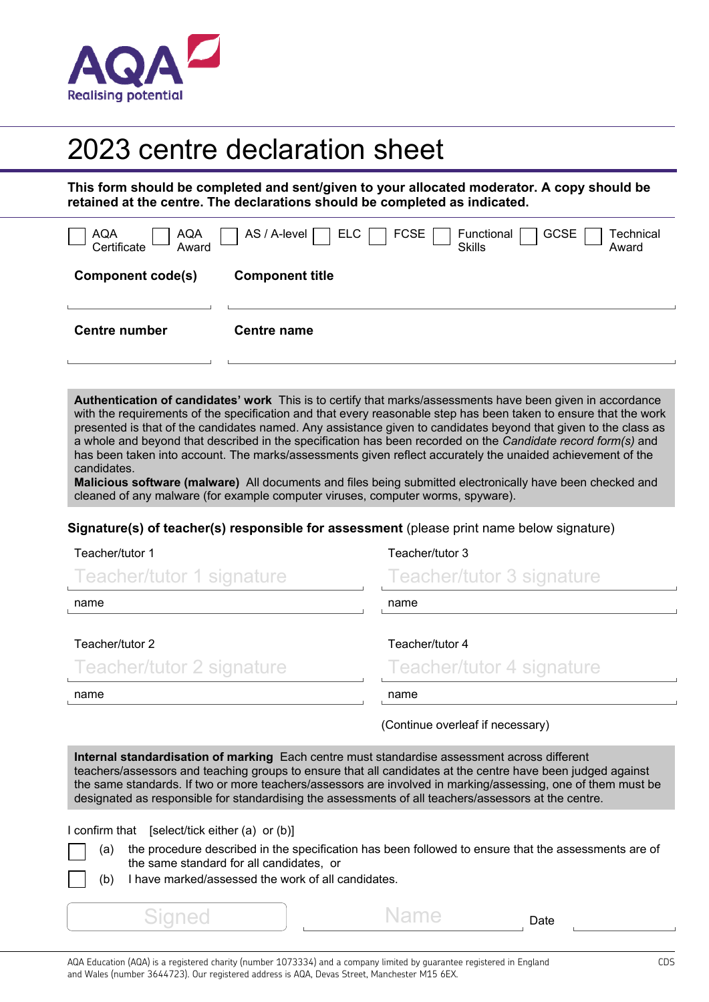

## 2023 centre declaration sheet

**This form should be completed and sent/given to your allocated moderator. A copy should be retained at the centre. The declarations should be completed as indicated.** 

| <b>AQA</b><br>AQA<br>Certificate<br>Award | AS / A-level  <br><b>FCSE</b><br><b>ELC</b><br><b>GCSE</b><br>Technical<br>Functional<br><b>Skills</b><br>Award |
|-------------------------------------------|-----------------------------------------------------------------------------------------------------------------|
| <b>Component code(s)</b>                  | <b>Component title</b>                                                                                          |
| <b>Centre number</b>                      | <b>Centre name</b>                                                                                              |

**Authentication of candidates' work** This is to certify that marks/assessments have been given in accordance with the requirements of the specification and that every reasonable step has been taken to ensure that the work presented is that of the candidates named. Any assistance given to candidates beyond that given to the class as a whole and beyond that described in the specification has been recorded on the *Candidate record form(s)* and has been taken into account. The marks/assessments given reflect accurately the unaided achievement of the candidates.

**Malicious software (malware)** All documents and files being submitted electronically have been checked and cleaned of any malware (for example computer viruses, computer worms, spyware).

## **Signature(s) of teacher(s) responsible for assessment** (please print name below signature)

## Teacher/tutor 1

| Teacher/tutor 1 signature | Teacher/tutor 3 signature |
|---------------------------|---------------------------|
| name                      | name                      |
| Teacher/tutor 2           | Teacher/tutor 4           |
| Teacher/tutor 2 signature | Teacher/tutor 4 signature |
| name                      | name                      |

Teacher/tutor 3

(Continue overleaf if necessary)

**Internal standardisation of marking** Each centre must standardise assessment across different teachers/assessors and teaching groups to ensure that all candidates at the centre have been judged against the same standards. If two or more teachers/assessors are involved in marking/assessing, one of them must be designated as responsible for standardising the assessments of all teachers/assessors at the centre.

I confirm that [select/tick either (a) or (b)]

- (a) the procedure described in the specification has been followed to ensure that the assessments are of the same standard for all candidates, or
- (b) I have marked/assessed the work of all candidates.

Signed I Name Date